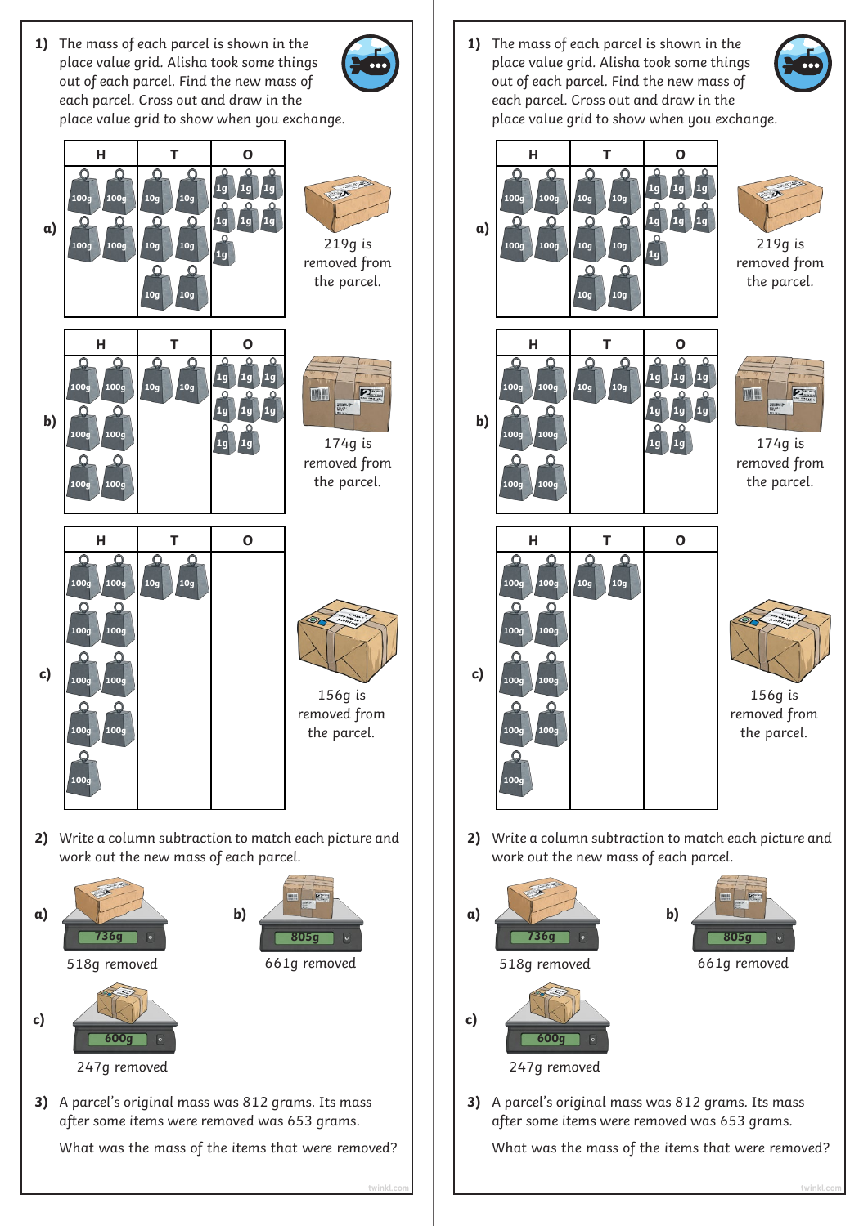**1)** The mass of each parcel is shown in the place value grid. Alisha took some things out of each parcel. Find the new mass of each parcel. Cross out and draw in the place value grid to show when you exchange.







**1)** The mass of each parcel is shown in the place value grid. Alisha took some things out of each parcel. Find the new mass of each parcel. Cross out and draw in the place value grid to show when you exchange.





What was the mass of the items that were removed?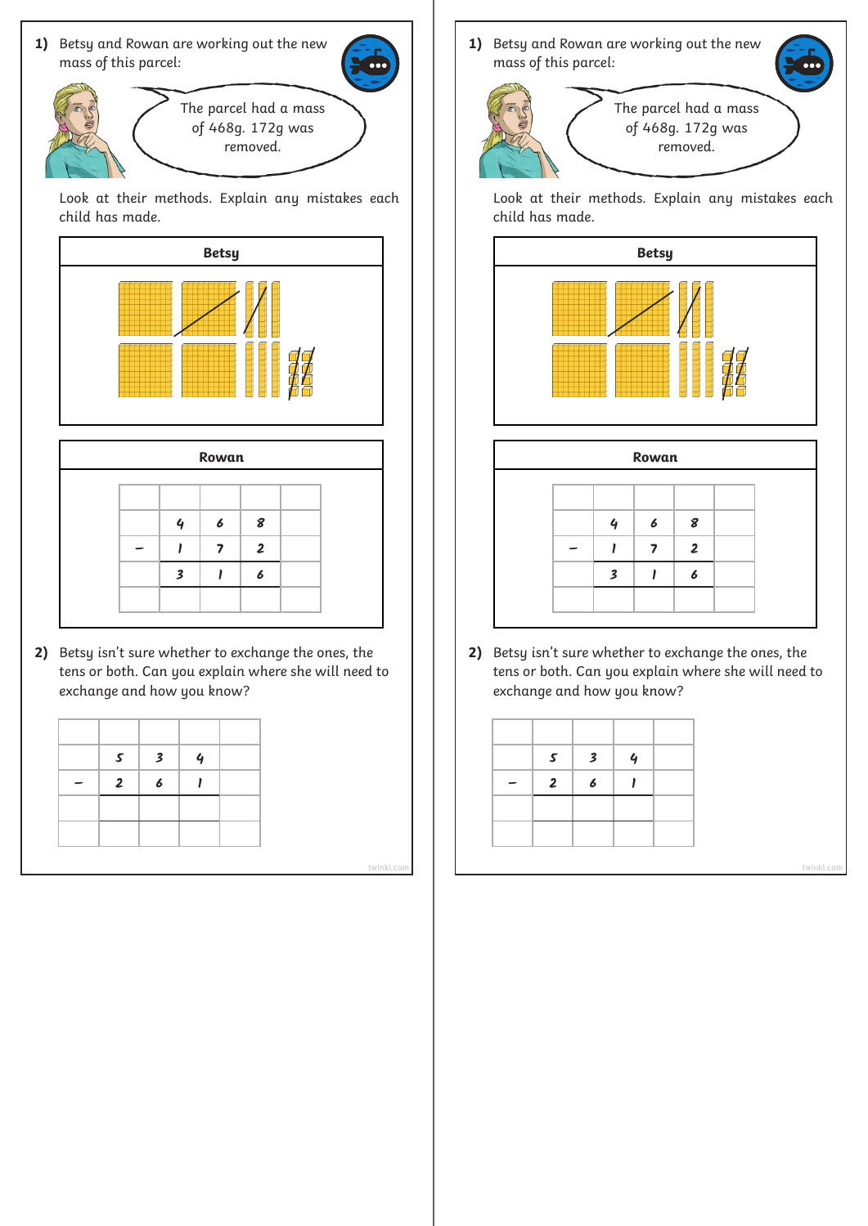

The parcel had a mass of 468g. 172g was removed.

Look at their methods. Explain any mistakes each child has made.



| Δ | $\boldsymbol{6}$ | 8              |  |
|---|------------------|----------------|--|
|   |                  | $\overline{2}$ |  |
| 3 |                  | 6              |  |
|   |                  |                |  |

**2)** Betsy isn't sure whether to exchange the ones, the tens or both. Can you explain where she will need to exchange and how you know?

| $\mathcal{S}$           | $\overline{\mathbf{3}}$ | 4 |  |
|-------------------------|-------------------------|---|--|
| $\overline{\mathbf{c}}$ | $\boldsymbol{6}$        |   |  |
|                         |                         |   |  |
|                         |                         |   |  |

1) Betsy and Rowan are working out the new mass of this parcel:



Look at their methods. Explain any mistakes each child has made.



|                         | Rowan |                |  |
|-------------------------|-------|----------------|--|
|                         | 6     | 8              |  |
|                         |       | $\overline{2}$ |  |
| $\overline{\mathbf{3}}$ |       | 6              |  |
|                         |       |                |  |

**2)** Betsy isn't sure whether to exchange the ones, the tens or both. Can you explain where she will need to exchange and how you know?

| 5              | $\boldsymbol{\mathsf{3}}$ | $\mathbf 4$ |  |
|----------------|---------------------------|-------------|--|
| $\overline{2}$ | 6                         |             |  |
|                |                           |             |  |
|                |                           |             |  |

**[twinkl.com](https://www.twinkl.co.uk/resources/white-rose-maths-resources/year-3-white-rose-maths-resources-key-stage-1-year-1-year-2/autumn-block-2-addition-and-subtraction-year-3-white-rose-maths-resources-key-stage-1-year-1-year-2) [twinkl.com](https://www.twinkl.co.uk/resources/white-rose-maths-resources/year-3-white-rose-maths-resources-key-stage-1-year-1-year-2/autumn-block-2-addition-and-subtraction-year-3-white-rose-maths-resources-key-stage-1-year-1-year-2)**